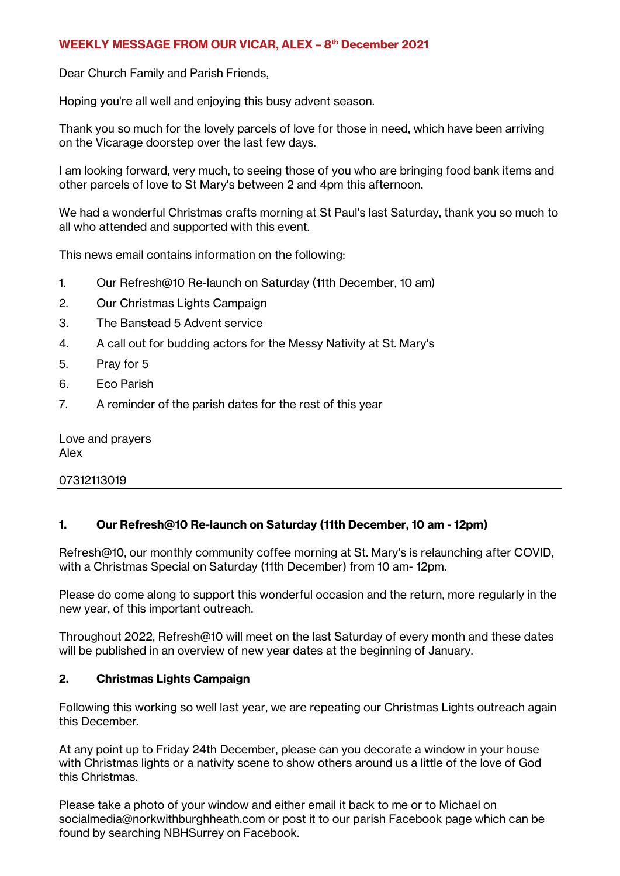### WEEKLY MESSAGE FROM OUR VICAR, ALEX - 8th December 2021

Dear Church Family and Parish Friends,

Hoping you're all well and enjoying this busy advent season.

Thank you so much for the lovely parcels of love for those in need, which have been arriving on the Vicarage doorstep over the last few days.

I am looking forward, very much, to seeing those of you who are bringing food bank items and other parcels of love to St Mary's between 2 and 4pm this afternoon.

We had a wonderful Christmas crafts morning at St Paul's last Saturday, thank you so much to all who attended and supported with this event.

This news email contains information on the following:

- 1. Our Refresh@10 Re-launch on Saturday (11th December, 10 am)
- 2. Our Christmas Lights Campaign
- 3. The Banstead 5 Advent service
- 4. A call out for budding actors for the Messy Nativity at St. Mary's
- 5. Pray for 5
- 6. Eco Parish
- 7. A reminder of the parish dates for the rest of this year

Love and prayers Alex

07312113019

### 1. Our Refresh@10 Re-launch on Saturday (11th December, 10 am - 12pm)

Refresh@10, our monthly community coffee morning at St. Mary's is relaunching after COVID, with a Christmas Special on Saturday (11th December) from 10 am- 12pm.

Please do come along to support this wonderful occasion and the return, more regularly in the new year, of this important outreach.

Throughout 2022, Refresh@10 will meet on the last Saturday of every month and these dates will be published in an overview of new year dates at the beginning of January.

#### 2. Christmas Lights Campaign

Following this working so well last year, we are repeating our Christmas Lights outreach again this December.

At any point up to Friday 24th December, please can you decorate a window in your house with Christmas lights or a nativity scene to show others around us a little of the love of God this Christmas.

Please take a photo of your window and either email it back to me or to Michael on socialmedia@norkwithburghheath.com or post it to our parish Facebook page which can be found by searching NBHSurrey on Facebook.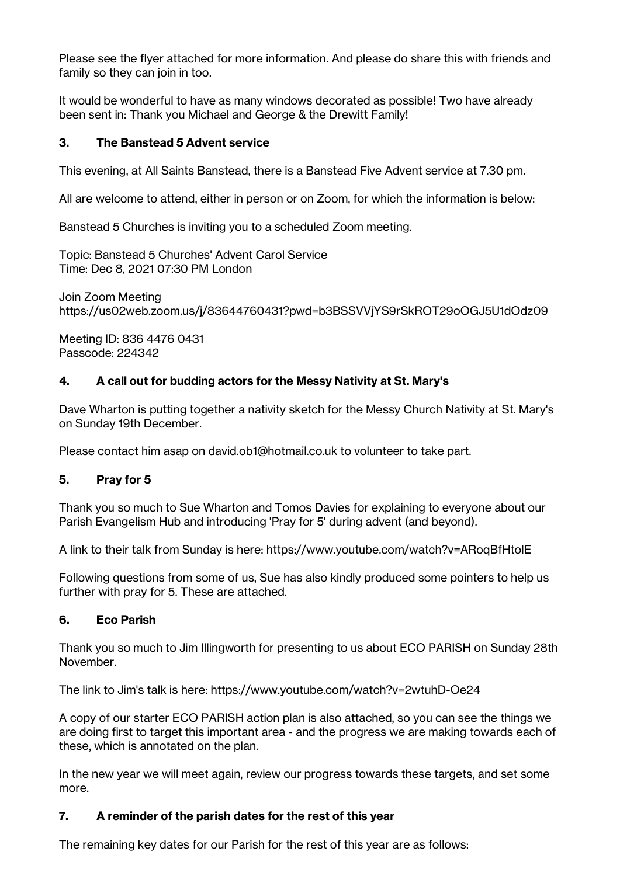Please see the flyer attached for more information. And please do share this with friends and family so they can join in too.

It would be wonderful to have as many windows decorated as possible! Two have already been sent in: Thank you Michael and George & the Drewitt Family!

# 3. The Banstead 5 Advent service

This evening, at All Saints Banstead, there is a Banstead Five Advent service at 7.30 pm.

All are welcome to attend, either in person or on Zoom, for which the information is below:

Banstead 5 Churches is inviting you to a scheduled Zoom meeting.

Topic: Banstead 5 Churches' Advent Carol Service Time: Dec 8, 2021 07:30 PM London

Join Zoom Meeting https://us02web.zoom.us/j/83644760431?pwd=b3BSSVVjYS9rSkROT29oOGJ5U1dOdz09

Meeting ID: 836 4476 0431 Passcode: 224342

# 4. A call out for budding actors for the Messy Nativity at St. Mary's

Dave Wharton is putting together a nativity sketch for the Messy Church Nativity at St. Mary's on Sunday 19th December.

Please contact him asap on david.ob1@hotmail.co.uk to volunteer to take part.

### 5. Pray for 5

Thank you so much to Sue Wharton and Tomos Davies for explaining to everyone about our Parish Evangelism Hub and introducing 'Pray for 5' during advent (and beyond).

A link to their talk from Sunday is here: https://www.youtube.com/watch?v=ARoqBfHtolE

Following questions from some of us, Sue has also kindly produced some pointers to help us further with pray for 5. These are attached.

### 6. Eco Parish

Thank you so much to Jim Illingworth for presenting to us about ECO PARISH on Sunday 28th November.

The link to Jim's talk is here: https://www.youtube.com/watch?v=2wtuhD-Oe24

A copy of our starter ECO PARISH action plan is also attached, so you can see the things we are doing first to target this important area - and the progress we are making towards each of these, which is annotated on the plan.

In the new year we will meet again, review our progress towards these targets, and set some more.

### 7. A reminder of the parish dates for the rest of this year

The remaining key dates for our Parish for the rest of this year are as follows: